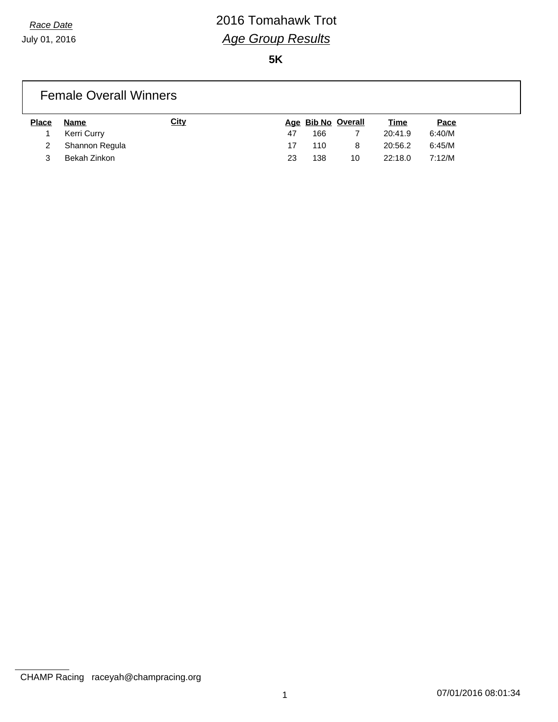# *Race Date* 2016 Tomahawk Trot *Age Group Results*

**5K**

### Female Overall Winners **Place Name City Age Bib No Overall Time Pace** 1 Kerri Curry 47 166 7 20:41.9 6:40/M 2 Shannon Regula 17 110 8 20:56.2 6:45/M

3 Bekah Zinkon 23 138 10 22:18.0 7:12/M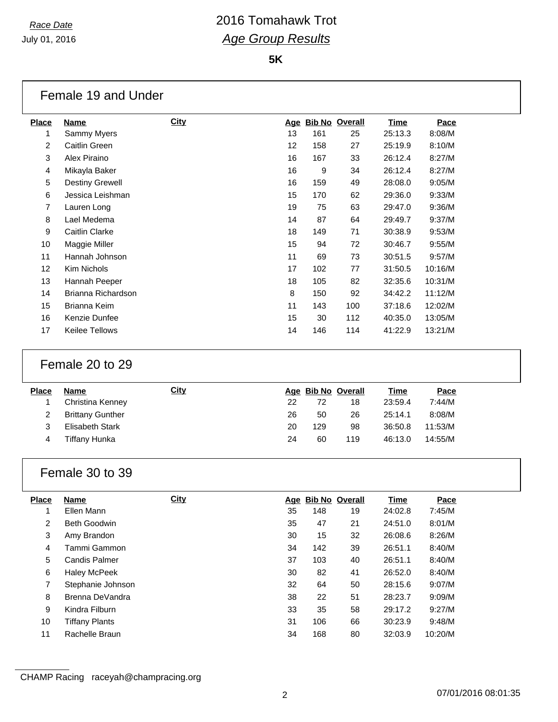$\Gamma$ 

### *Race Date* 2016 Tomahawk Trot *Age Group Results*

**5K**

|                         | Female 19 and Under                      |             |          |          |                    |                    |                  |  |
|-------------------------|------------------------------------------|-------------|----------|----------|--------------------|--------------------|------------------|--|
| <b>Place</b>            | <b>Name</b>                              | <b>City</b> |          |          | Age Bib No Overall | <b>Time</b>        | Pace             |  |
| 1                       | Sammy Myers                              |             | 13       | 161      | 25                 | 25:13.3            | 8:08/M           |  |
| $\overline{\mathbf{c}}$ | Caitlin Green                            |             | 12       | 158      | 27                 | 25:19.9            | 8:10/M           |  |
| 3                       | Alex Piraino                             |             | 16       | 167      | 33                 | 26:12.4            | 8:27/M           |  |
| 4                       | Mikayla Baker                            |             | 16       | 9        | 34                 | 26:12.4            | 8:27/M           |  |
| 5                       | <b>Destiny Grewell</b>                   |             | 16       | 159      | 49                 | 28:08.0            | 9:05/M           |  |
| 6                       | Jessica Leishman                         |             | 15       | 170      | 62                 | 29:36.0            | 9:33/M           |  |
| $\overline{7}$          | Lauren Long                              |             | 19       | 75       | 63                 | 29:47.0            | 9:36/M           |  |
| $\,8\,$                 | Lael Medema                              |             | 14       | 87       | 64                 | 29:49.7            | 9:37/M           |  |
| $\boldsymbol{9}$        | Caitlin Clarke                           |             | 18       | 149      | 71                 | 30:38.9            | 9:53/M           |  |
| 10                      | Maggie Miller                            |             | 15       | 94       | 72                 | 30:46.7            | 9:55/M           |  |
| 11                      | Hannah Johnson                           |             | 11       | 69       | 73                 | 30:51.5            | 9:57/M           |  |
| 12                      | Kim Nichols                              |             | 17       | 102      | 77                 | 31:50.5            | 10:16/M          |  |
| 13                      | Hannah Peeper                            |             | 18       | 105      | 82                 | 32:35.6            | 10:31/M          |  |
| 14                      | Brianna Richardson                       |             | 8        | 150      | 92                 | 34:42.2            | 11:12/M          |  |
| 15                      | Brianna Keim                             |             | 11       | 143      | 100                | 37:18.6            | 12:02/M          |  |
| 16                      | Kenzie Dunfee                            |             | 15       | 30       | 112                | 40:35.0            | 13:05/M          |  |
| 17                      | Keilee Tellows                           |             | 14       | 146      | 114                | 41:22.9            | 13:21/M          |  |
|                         |                                          |             |          |          |                    |                    |                  |  |
|                         | Female 20 to 29                          |             |          |          |                    |                    |                  |  |
| <b>Place</b>            | <b>Name</b>                              | <b>City</b> |          |          | Age Bib No Overall | <b>Time</b>        | Pace             |  |
| 1                       | Christina Kenney                         |             | 22       | 72       | 18                 | 23:59.4            | 7:44/M           |  |
| $\overline{2}$          | <b>Brittany Gunther</b>                  |             | 26       | 50       | 26                 | 25:14.1            | 8:08/M           |  |
| 3                       | <b>Elisabeth Stark</b>                   |             | 20       | 129      | 98                 | 36:50.8            | 11:53/M          |  |
| 4                       | <b>Tiffany Hunka</b>                     |             | 24       | 60       | 119                | 46:13.0            | 14:55/M          |  |
|                         | Female 30 to 39                          |             |          |          |                    |                    |                  |  |
| <b>Place</b>            | <b>Name</b>                              | City        |          |          | Age Bib No Overall | <b>Time</b>        | Pace             |  |
| 1                       | Ellen Mann                               |             | 35       | 148      | 19                 | 24:02.8            | 7:45/M           |  |
| $\overline{2}$          | Beth Goodwin                             |             | 35       | 47       | 21                 | 24:51.0            | 8:01/M           |  |
| $\sqrt{3}$              | Amy Brandon                              |             | 30       | 15       | 32                 | 26:08.6            | 8:26/M           |  |
| $\overline{\mathbf{4}}$ | Tammi Gammon                             |             | 34       | 142      | 39                 | 26:51.1            | 8:40/M           |  |
| 5                       | <b>Candis Palmer</b>                     |             | 37       | 103      | 40                 | 26:51.1            | 8:40/M           |  |
| 6<br>$\overline{7}$     | <b>Haley McPeek</b><br>Stephanie Johnson |             | 30<br>32 | 82<br>64 | 41<br>50           | 26:52.0<br>28:15.6 | 8:40/M<br>9:07/M |  |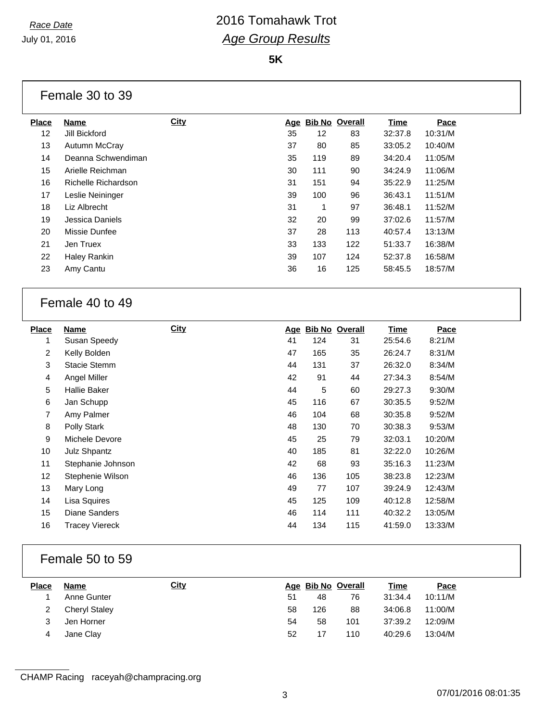## *Race Date* 2016 Tomahawk Trot *Age Group Results*

**5K**

| Female 30 to 39 |  |  |
|-----------------|--|--|
|-----------------|--|--|

| <b>Place</b> | <b>Name</b>         | <b>City</b> | Age | <b>Bib No Overall</b> |     | <b>Time</b> | Pace    |
|--------------|---------------------|-------------|-----|-----------------------|-----|-------------|---------|
| 12           | Jill Bickford       |             | 35  | 12                    | 83  | 32:37.8     | 10:31/M |
| 13           | Autumn McCray       |             | 37  | 80                    | 85  | 33:05.2     | 10:40/M |
| 14           | Deanna Schwendiman  |             | 35  | 119                   | 89  | 34:20.4     | 11:05/M |
| 15           | Arielle Reichman    |             | 30  | 111                   | 90  | 34:24.9     | 11:06/M |
| 16           | Richelle Richardson |             | 31  | 151                   | 94  | 35:22.9     | 11:25/M |
| 17           | Leslie Neininger    |             | 39  | 100                   | 96  | 36:43.1     | 11:51/M |
| 18           | Liz Albrecht        |             | 31  | 1                     | 97  | 36:48.1     | 11:52/M |
| 19           | Jessica Daniels     |             | 32  | 20                    | 99  | 37:02.6     | 11:57/M |
| 20           | Missie Dunfee       |             | 37  | 28                    | 113 | 40:57.4     | 13:13/M |
| 21           | Jen Truex           |             | 33  | 133                   | 122 | 51:33.7     | 16:38/M |
| 22           | Haley Rankin        |             | 39  | 107                   | 124 | 52:37.8     | 16:58/M |
| 23           | Amy Cantu           |             | 36  | 16                    | 125 | 58:45.5     | 18:57/M |
|              |                     |             |     |                       |     |             |         |

#### Female 40 to 49

| <b>Place</b> | <b>Name</b>           | <b>City</b> | <u>Age</u> | <b>Bib No Overall</b> |     | <u>Time</u> | Pace    |
|--------------|-----------------------|-------------|------------|-----------------------|-----|-------------|---------|
| 1            | Susan Speedy          |             | 41         | 124                   | 31  | 25:54.6     | 8:21/M  |
| 2            | Kelly Bolden          |             | 47         | 165                   | 35  | 26:24.7     | 8:31/M  |
| 3            | <b>Stacie Stemm</b>   |             | 44         | 131                   | 37  | 26:32.0     | 8:34/M  |
| 4            | Angel Miller          |             | 42         | 91                    | 44  | 27:34.3     | 8:54/M  |
| 5            | <b>Hallie Baker</b>   |             | 44         | 5                     | 60  | 29:27.3     | 9:30/M  |
| 6            | Jan Schupp            |             | 45         | 116                   | 67  | 30:35.5     | 9:52/M  |
| 7            | Amy Palmer            |             | 46         | 104                   | 68  | 30:35.8     | 9:52/M  |
| 8            | Polly Stark           |             | 48         | 130                   | 70  | 30:38.3     | 9:53/M  |
| 9            | Michele Devore        |             | 45         | 25                    | 79  | 32:03.1     | 10:20/M |
| 10           | <b>Julz Shpantz</b>   |             | 40         | 185                   | 81  | 32:22.0     | 10:26/M |
| 11           | Stephanie Johnson     |             | 42         | 68                    | 93  | 35:16.3     | 11:23/M |
| 12           | Stephenie Wilson      |             | 46         | 136                   | 105 | 38:23.8     | 12:23/M |
| 13           | Mary Long             |             | 49         | 77                    | 107 | 39:24.9     | 12:43/M |
| 14           | Lisa Squires          |             | 45         | 125                   | 109 | 40:12.8     | 12:58/M |
| 15           | Diane Sanders         |             | 46         | 114                   | 111 | 40:32.2     | 13:05/M |
| 16           | <b>Tracey Viereck</b> |             | 44         | 134                   | 115 | 41:59.0     | 13:33/M |

#### Female 50 to 59

| <b>Place</b> | <b>Name</b>          | <b>City</b> |    | Age Bib No Overall |     | Time    | Pace    |
|--------------|----------------------|-------------|----|--------------------|-----|---------|---------|
|              | Anne Gunter          |             | 51 | 48                 | 76  | 31:34.4 | 10:11/M |
|              | <b>Cheryl Staley</b> |             | 58 | 126                | 88  | 34:06.8 | 11:00/M |
| 3            | Jen Horner           |             | 54 | 58                 | 101 | 37:39.2 | 12:09/M |
| 4            | Jane Clay            |             | 52 | 17                 | 110 | 40:29.6 | 13:04/M |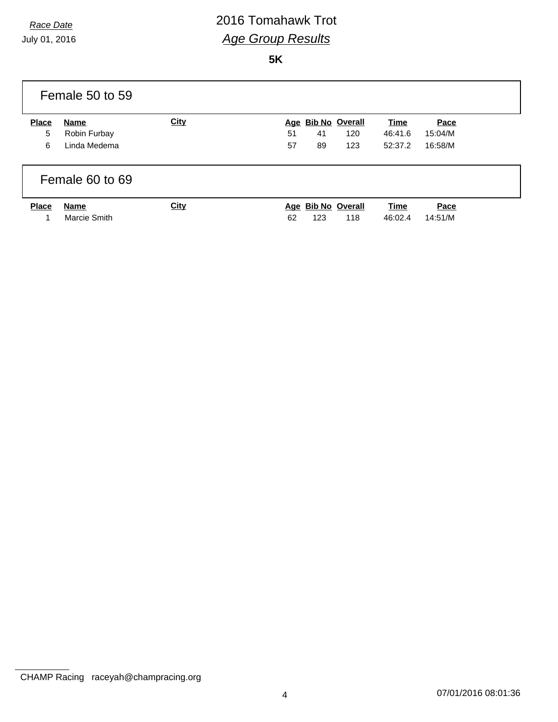July 01, 2016

# *Race Date* 2016 Tomahawk Trot *Age Group Results*

**5K**

|              | Female 50 to 59      |             |    |                           |                    |                        |                 |  |
|--------------|----------------------|-------------|----|---------------------------|--------------------|------------------------|-----------------|--|
| <b>Place</b> | Name                 | <b>City</b> |    |                           | Age Bib No Overall | Time                   | Pace            |  |
| 5            | Robin Furbay         |             | 51 | 41                        | 120                | 46:41.6                | 15:04/M         |  |
| 6            | Linda Medema         |             | 57 | 89                        | 123                | 52:37.2                | 16:58/M         |  |
|              | Female 60 to 69      |             |    |                           |                    |                        |                 |  |
| <b>Place</b> | Name<br>Marcie Smith | <b>City</b> | 62 | Age Bib No Overall<br>123 | 118                | <b>Time</b><br>46:02.4 | Pace<br>14:51/M |  |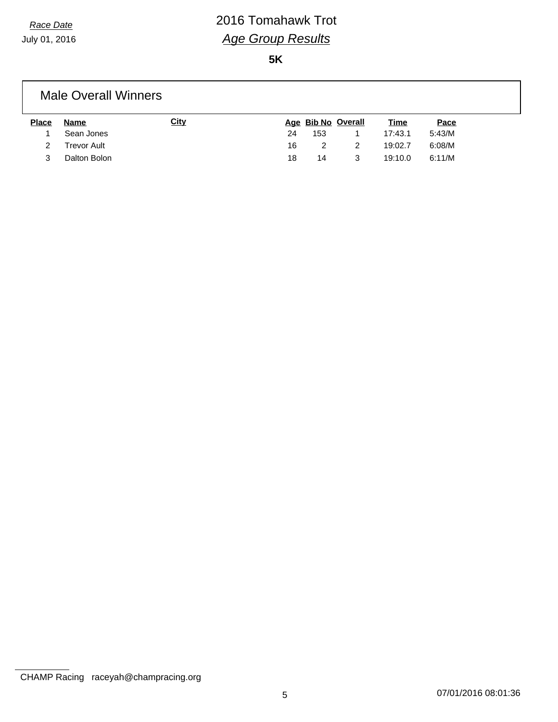July 01, 2016

# *Race Date* 2016 Tomahawk Trot *Age Group Results*

**5K**

#### Male Overall Winners

| <b>Place</b> | <b>Name</b>        | <u>City</u> |    |     | Age Bib No Overall | <u>Time</u> | Pace   |
|--------------|--------------------|-------------|----|-----|--------------------|-------------|--------|
|              | Sean Jones         |             | 24 | 153 |                    | 17:43.1     | 5:43/M |
|              | <b>Trevor Ault</b> |             | 16 |     |                    | 19:02.7     | 6:08/M |
|              | Dalton Bolon       |             | 18 | 14  |                    | 19:10.0     | 6:11/M |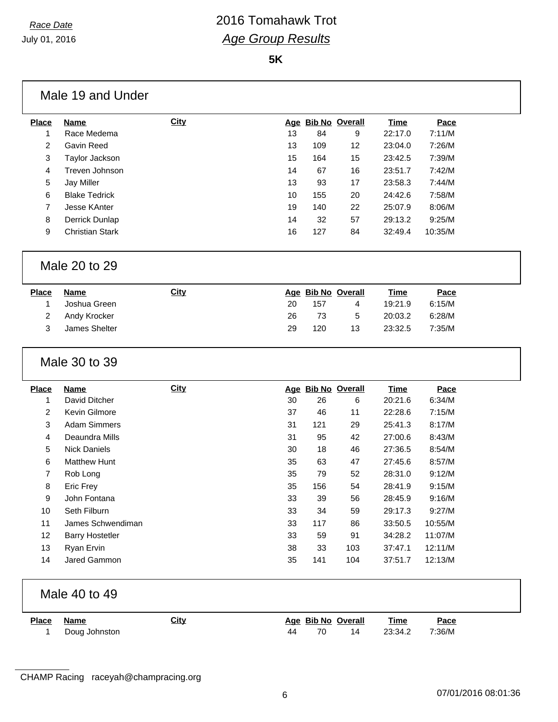$\mathbf{L}$ 

## *Race Date* 2016 Tomahawk Trot *Age Group Results*

**5K**

|                   | Male 19 and Under            |             |    |     |                          |                        |                |
|-------------------|------------------------------|-------------|----|-----|--------------------------|------------------------|----------------|
| <b>Place</b>      | <b>Name</b>                  | <b>City</b> |    |     | Age Bib No Overall       | <b>Time</b>            | Pace           |
| 1                 | Race Medema                  |             | 13 | 84  | 9                        | 22:17.0                | 7:11/M         |
| $\overline{2}$    | Gavin Reed                   |             | 13 | 109 | 12                       | 23:04.0                | 7:26/M         |
| $\sqrt{3}$        | Taylor Jackson               |             | 15 | 164 | 15                       | 23:42.5                | 7:39/M         |
| 4                 | Treven Johnson               |             | 14 | 67  | 16                       | 23:51.7                | 7:42/M         |
| $\,$ 5 $\,$       | <b>Jay Miller</b>            |             | 13 | 93  | 17                       | 23:58.3                | 7:44/M         |
| 6                 | <b>Blake Tedrick</b>         |             | 10 | 155 | 20                       | 24:42.6                | 7:58/M         |
| $\overline{7}$    | Jesse KAnter                 |             | 19 | 140 | 22                       | 25:07.9                | 8:06/M         |
| 8                 | Derrick Dunlap               |             | 14 | 32  | 57                       | 29:13.2                | 9:25/M         |
| 9                 | <b>Christian Stark</b>       |             | 16 | 127 | 84                       | 32:49.4                | 10:35/M        |
|                   | Male 20 to 29                |             |    |     |                          |                        |                |
| <b>Place</b>      | <b>Name</b>                  | <b>City</b> |    |     | Age Bib No Overall       | <b>Time</b>            | Pace           |
| 1                 | Joshua Green                 |             | 20 | 157 | 4                        | 19:21.9                | 6:15/M         |
| $\overline{2}$    | Andy Krocker                 |             | 26 | 73  | 5                        | 20:03.2                | 6:28/M         |
| 3                 | James Shelter                |             | 29 | 120 | 13                       | 23:32.5                | 7:35/M         |
|                   | Male 30 to 39                |             |    |     |                          |                        |                |
| <b>Place</b><br>1 | <b>Name</b><br>David Ditcher | <b>City</b> | 30 | 26  | Age Bib No Overall<br>6  | <b>Time</b><br>20:21.6 | Pace<br>6:34/M |
| $\overline{2}$    | Kevin Gilmore                |             | 37 | 46  | 11                       | 22:28.6                | 7:15/M         |
| 3                 | <b>Adam Simmers</b>          |             | 31 | 121 | 29                       | 25:41.3                | 8:17/M         |
| 4                 | Deaundra Mills               |             | 31 | 95  | 42                       | 27:00.6                | 8:43/M         |
| 5                 | <b>Nick Daniels</b>          |             | 30 | 18  | 46                       | 27:36.5                | 8:54/M         |
| 6                 | <b>Matthew Hunt</b>          |             | 35 | 63  | 47                       | 27:45.6                | 8:57/M         |
| $\overline{7}$    | Rob Long                     |             | 35 | 79  | 52                       | 28:31.0                | 9:12/M         |
| 8                 | Eric Frey                    |             | 35 | 156 | 54                       | 28:41.9                | 9:15/M         |
| 9                 | John Fontana                 |             | 33 | 39  | 56                       | 28:45.9                | 9:16/M         |
| 10                | Seth Filburn                 |             | 33 | 34  | 59                       | 29:17.3                | 9:27/M         |
| 11                | James Schwendiman            |             | 33 | 117 | 86                       | 33:50.5                | 10:55/M        |
| 12                | <b>Barry Hostetler</b>       |             | 33 | 59  | 91                       | 34:28.2                | 11:07/M        |
| 13                | Ryan Ervin                   |             | 38 | 33  | 103                      | 37:47.1                | 12:11/M        |
| 14                | Jared Gammon                 |             | 35 | 141 | 104                      | 37:51.7                | 12:13/M        |
|                   |                              |             |    |     |                          |                        |                |
|                   | Male 40 to 49                |             |    |     |                          |                        |                |
| <b>Place</b><br>1 | <b>Name</b><br>Doug Johnston | <b>City</b> | 44 | 70  | Age Bib No Overall<br>14 | <b>Time</b><br>23:34.2 | Pace<br>7:36/M |